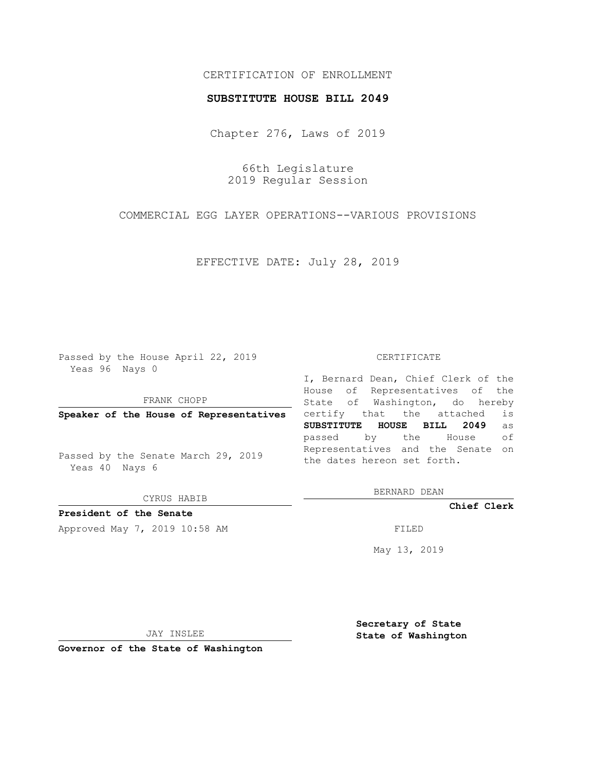## CERTIFICATION OF ENROLLMENT

### **SUBSTITUTE HOUSE BILL 2049**

Chapter 276, Laws of 2019

66th Legislature 2019 Regular Session

COMMERCIAL EGG LAYER OPERATIONS--VARIOUS PROVISIONS

EFFECTIVE DATE: July 28, 2019

Passed by the House April 22, 2019 Yeas 96 Nays 0

FRANK CHOPP

**Speaker of the House of Representatives**

Passed by the Senate March 29, 2019 Yeas 40 Nays 6

CYRUS HABIB

# **President of the Senate**

Approved May 7, 2019 10:58 AM FILED

#### CERTIFICATE

I, Bernard Dean, Chief Clerk of the House of Representatives of the State of Washington, do hereby certify that the attached is **SUBSTITUTE HOUSE BILL 2049** as passed by the House of Representatives and the Senate on the dates hereon set forth.

BERNARD DEAN

**Chief Clerk**

May 13, 2019

JAY INSLEE

**Governor of the State of Washington**

**Secretary of State State of Washington**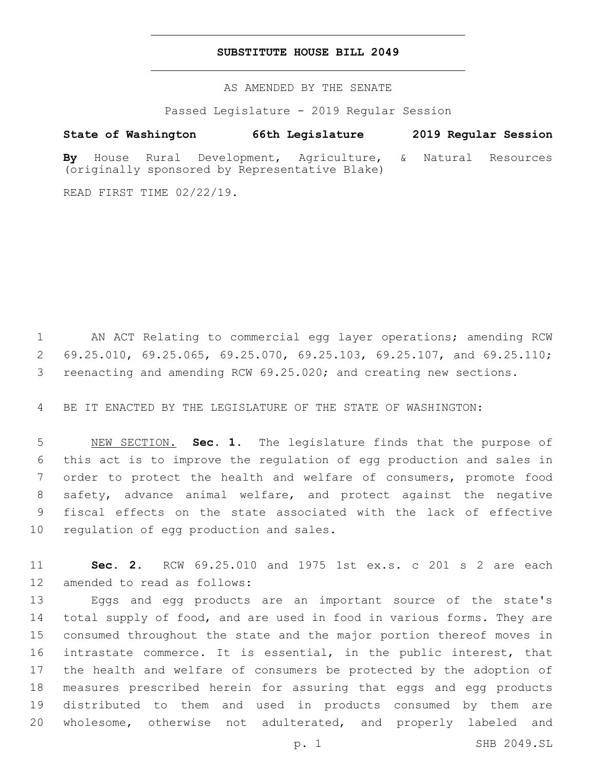## **SUBSTITUTE HOUSE BILL 2049**

AS AMENDED BY THE SENATE

Passed Legislature - 2019 Regular Session

# **State of Washington 66th Legislature 2019 Regular Session**

**By** House Rural Development, Agriculture, & Natural Resources (originally sponsored by Representative Blake)

READ FIRST TIME 02/22/19.

 AN ACT Relating to commercial egg layer operations; amending RCW 69.25.010, 69.25.065, 69.25.070, 69.25.103, 69.25.107, and 69.25.110; reenacting and amending RCW 69.25.020; and creating new sections.

BE IT ENACTED BY THE LEGISLATURE OF THE STATE OF WASHINGTON:

 NEW SECTION. **Sec. 1.** The legislature finds that the purpose of this act is to improve the regulation of egg production and sales in order to protect the health and welfare of consumers, promote food safety, advance animal welfare, and protect against the negative fiscal effects on the state associated with the lack of effective regulation of egg production and sales.

 **Sec. 2.** RCW 69.25.010 and 1975 1st ex.s. c 201 s 2 are each 12 amended to read as follows:

 Eggs and egg products are an important source of the state's total supply of food, and are used in food in various forms. They are consumed throughout the state and the major portion thereof moves in intrastate commerce. It is essential, in the public interest, that the health and welfare of consumers be protected by the adoption of measures prescribed herein for assuring that eggs and egg products distributed to them and used in products consumed by them are wholesome, otherwise not adulterated, and properly labeled and

p. 1 SHB 2049.SL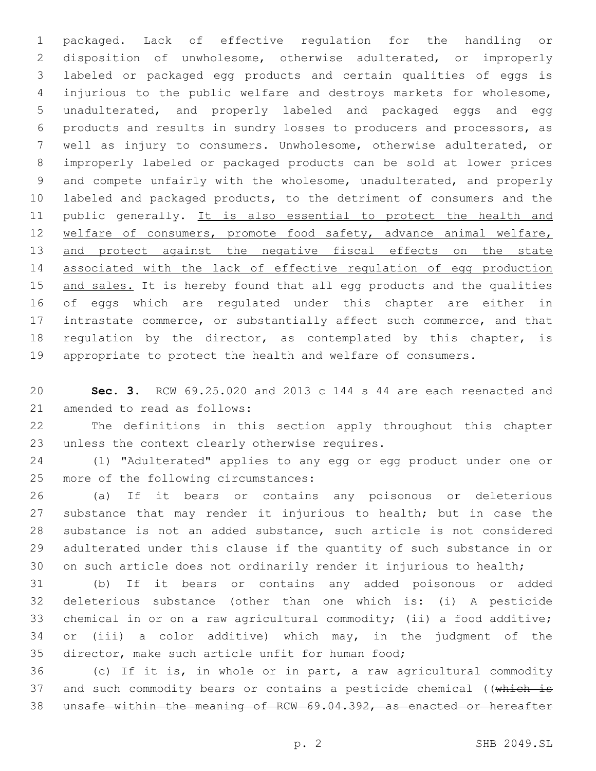packaged. Lack of effective regulation for the handling or disposition of unwholesome, otherwise adulterated, or improperly labeled or packaged egg products and certain qualities of eggs is injurious to the public welfare and destroys markets for wholesome, unadulterated, and properly labeled and packaged eggs and egg products and results in sundry losses to producers and processors, as well as injury to consumers. Unwholesome, otherwise adulterated, or improperly labeled or packaged products can be sold at lower prices and compete unfairly with the wholesome, unadulterated, and properly labeled and packaged products, to the detriment of consumers and the 11 public generally. It is also essential to protect the health and 12 welfare of consumers, promote food safety, advance animal welfare, 13 and protect against the negative fiscal effects on the state associated with the lack of effective regulation of egg production 15 and sales. It is hereby found that all egg products and the qualities of eggs which are regulated under this chapter are either in intrastate commerce, or substantially affect such commerce, and that 18 regulation by the director, as contemplated by this chapter, is appropriate to protect the health and welfare of consumers.

 **Sec. 3.** RCW 69.25.020 and 2013 c 144 s 44 are each reenacted and 21 amended to read as follows:

 The definitions in this section apply throughout this chapter 23 unless the context clearly otherwise requires.

 (1) "Adulterated" applies to any egg or egg product under one or 25 more of the following circumstances:

 (a) If it bears or contains any poisonous or deleterious substance that may render it injurious to health; but in case the substance is not an added substance, such article is not considered adulterated under this clause if the quantity of such substance in or on such article does not ordinarily render it injurious to health;

 (b) If it bears or contains any added poisonous or added deleterious substance (other than one which is: (i) A pesticide chemical in or on a raw agricultural commodity; (ii) a food additive; or (iii) a color additive) which may, in the judgment of the 35 director, make such article unfit for human food;

 (c) If it is, in whole or in part, a raw agricultural commodity 37 and such commodity bears or contains a pesticide chemical ((which is unsafe within the meaning of RCW 69.04.392, as enacted or hereafter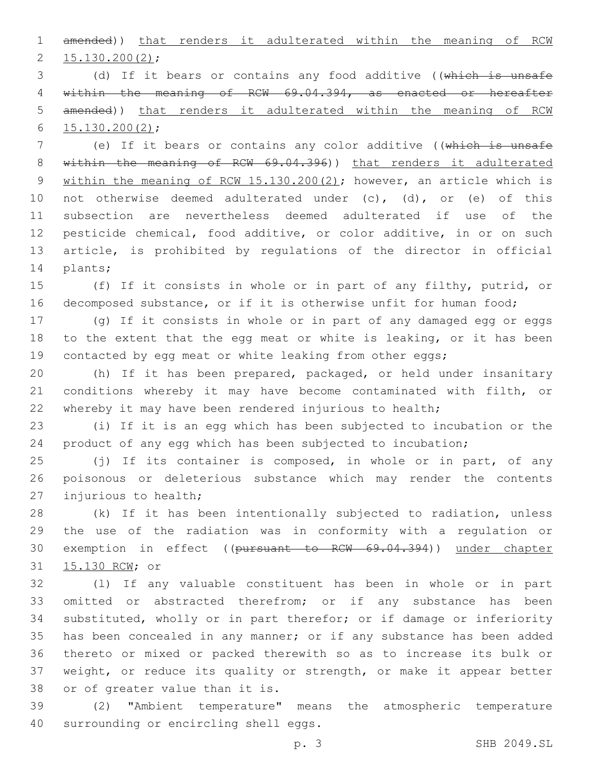amended)) that renders it adulterated within the meaning of RCW  $2\quad 15.130.200(2);$ 

 (d) If it bears or contains any food additive ((which is unsafe within the meaning of RCW 69.04.394, as enacted or hereafter amended)) that renders it adulterated within the meaning of RCW  $15.130.200(2)$ ;

7 (e) If it bears or contains any color additive ((which is unsafe 8 within the meaning of RCW 69.04.396)) that renders it adulterated 9 within the meaning of RCW 15.130.200(2); however, an article which is not otherwise deemed adulterated under (c), (d), or (e) of this subsection are nevertheless deemed adulterated if use of the pesticide chemical, food additive, or color additive, in or on such article, is prohibited by regulations of the director in official 14 plants;

 (f) If it consists in whole or in part of any filthy, putrid, or decomposed substance, or if it is otherwise unfit for human food;

 (g) If it consists in whole or in part of any damaged egg or eggs to the extent that the egg meat or white is leaking, or it has been 19 contacted by egg meat or white leaking from other eggs;

 (h) If it has been prepared, packaged, or held under insanitary conditions whereby it may have become contaminated with filth, or whereby it may have been rendered injurious to health;

 (i) If it is an egg which has been subjected to incubation or the product of any egg which has been subjected to incubation;

 (j) If its container is composed, in whole or in part, of any poisonous or deleterious substance which may render the contents 27 injurious to health;

 (k) If it has been intentionally subjected to radiation, unless the use of the radiation was in conformity with a regulation or exemption in effect ((pursuant to RCW 69.04.394)) under chapter 31 15.130 RCW; or

 (l) If any valuable constituent has been in whole or in part omitted or abstracted therefrom; or if any substance has been substituted, wholly or in part therefor; or if damage or inferiority has been concealed in any manner; or if any substance has been added thereto or mixed or packed therewith so as to increase its bulk or weight, or reduce its quality or strength, or make it appear better 38 or of greater value than it is.

 (2) "Ambient temperature" means the atmospheric temperature 40 surrounding or encircling shell eggs.

p. 3 SHB 2049.SL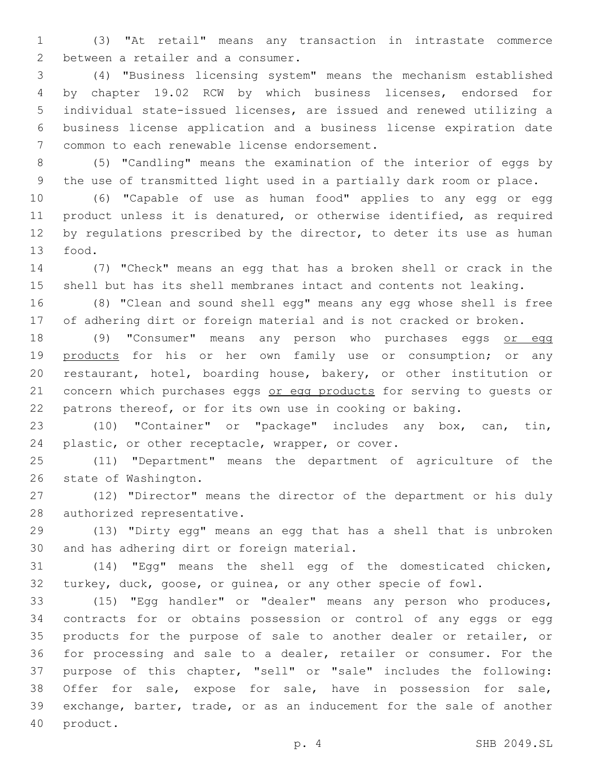(3) "At retail" means any transaction in intrastate commerce 2 between a retailer and a consumer.

 (4) "Business licensing system" means the mechanism established by chapter 19.02 RCW by which business licenses, endorsed for individual state-issued licenses, are issued and renewed utilizing a business license application and a business license expiration date 7 common to each renewable license endorsement.

 (5) "Candling" means the examination of the interior of eggs by the use of transmitted light used in a partially dark room or place.

 (6) "Capable of use as human food" applies to any egg or egg product unless it is denatured, or otherwise identified, as required 12 by regulations prescribed by the director, to deter its use as human 13 food.

 (7) "Check" means an egg that has a broken shell or crack in the shell but has its shell membranes intact and contents not leaking.

 (8) "Clean and sound shell egg" means any egg whose shell is free of adhering dirt or foreign material and is not cracked or broken.

18 (9) "Consumer" means any person who purchases eggs or egg 19 products for his or her own family use or consumption; or any restaurant, hotel, boarding house, bakery, or other institution or 21 concern which purchases eggs or egg products for serving to quests or patrons thereof, or for its own use in cooking or baking.

 (10) "Container" or "package" includes any box, can, tin, 24 plastic, or other receptacle, wrapper, or cover.

 (11) "Department" means the department of agriculture of the 26 state of Washington.

 (12) "Director" means the director of the department or his duly 28 authorized representative.

 (13) "Dirty egg" means an egg that has a shell that is unbroken 30 and has adhering dirt or foreign material.

 (14) "Egg" means the shell egg of the domesticated chicken, turkey, duck, goose, or guinea, or any other specie of fowl.

 (15) "Egg handler" or "dealer" means any person who produces, contracts for or obtains possession or control of any eggs or egg products for the purpose of sale to another dealer or retailer, or for processing and sale to a dealer, retailer or consumer. For the purpose of this chapter, "sell" or "sale" includes the following: Offer for sale, expose for sale, have in possession for sale, exchange, barter, trade, or as an inducement for the sale of another 40 product.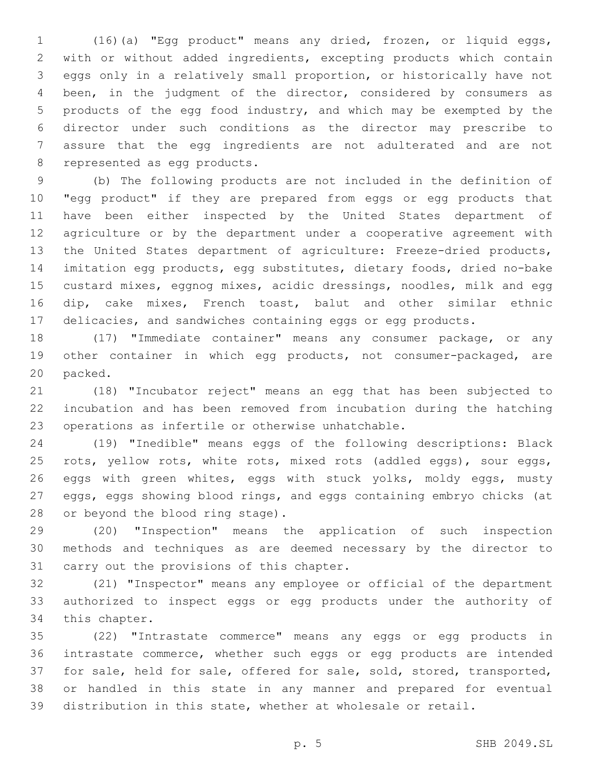(16)(a) "Egg product" means any dried, frozen, or liquid eggs, with or without added ingredients, excepting products which contain eggs only in a relatively small proportion, or historically have not been, in the judgment of the director, considered by consumers as products of the egg food industry, and which may be exempted by the director under such conditions as the director may prescribe to assure that the egg ingredients are not adulterated and are not 8 represented as egg products.

 (b) The following products are not included in the definition of "egg product" if they are prepared from eggs or egg products that have been either inspected by the United States department of agriculture or by the department under a cooperative agreement with the United States department of agriculture: Freeze-dried products, imitation egg products, egg substitutes, dietary foods, dried no-bake custard mixes, eggnog mixes, acidic dressings, noodles, milk and egg dip, cake mixes, French toast, balut and other similar ethnic delicacies, and sandwiches containing eggs or egg products.

 (17) "Immediate container" means any consumer package, or any other container in which egg products, not consumer-packaged, are 20 packed.

 (18) "Incubator reject" means an egg that has been subjected to incubation and has been removed from incubation during the hatching 23 operations as infertile or otherwise unhatchable.

 (19) "Inedible" means eggs of the following descriptions: Black rots, yellow rots, white rots, mixed rots (addled eggs), sour eggs, 26 eggs with green whites, eggs with stuck yolks, moldy eggs, musty eggs, eggs showing blood rings, and eggs containing embryo chicks (at 28 or beyond the blood ring stage).

 (20) "Inspection" means the application of such inspection methods and techniques as are deemed necessary by the director to 31 carry out the provisions of this chapter.

 (21) "Inspector" means any employee or official of the department authorized to inspect eggs or egg products under the authority of 34 this chapter.

 (22) "Intrastate commerce" means any eggs or egg products in intrastate commerce, whether such eggs or egg products are intended for sale, held for sale, offered for sale, sold, stored, transported, or handled in this state in any manner and prepared for eventual distribution in this state, whether at wholesale or retail.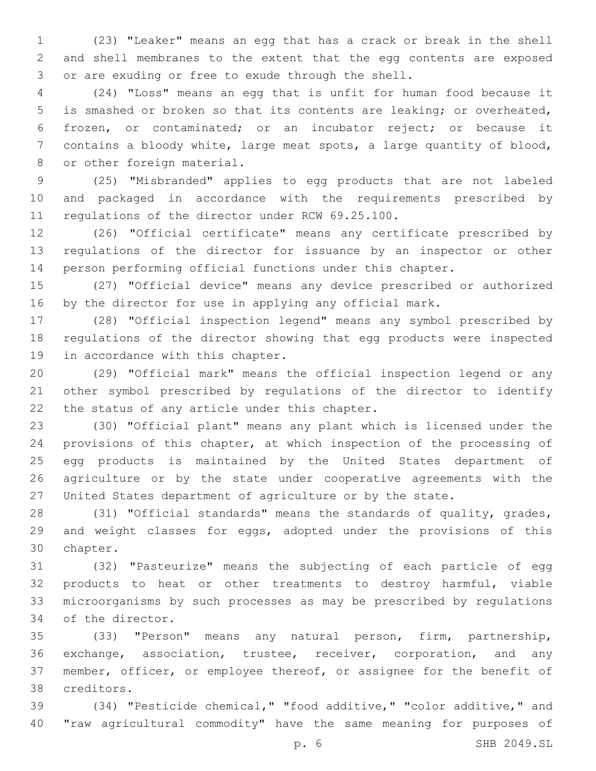(23) "Leaker" means an egg that has a crack or break in the shell and shell membranes to the extent that the egg contents are exposed 3 or are exuding or free to exude through the shell.

 (24) "Loss" means an egg that is unfit for human food because it is smashed or broken so that its contents are leaking; or overheated, frozen, or contaminated; or an incubator reject; or because it contains a bloody white, large meat spots, a large quantity of blood, 8 or other foreign material.

 (25) "Misbranded" applies to egg products that are not labeled and packaged in accordance with the requirements prescribed by 11 regulations of the director under RCW 69.25.100.

 (26) "Official certificate" means any certificate prescribed by regulations of the director for issuance by an inspector or other person performing official functions under this chapter.

 (27) "Official device" means any device prescribed or authorized by the director for use in applying any official mark.

 (28) "Official inspection legend" means any symbol prescribed by regulations of the director showing that egg products were inspected 19 in accordance with this chapter.

 (29) "Official mark" means the official inspection legend or any other symbol prescribed by regulations of the director to identify 22 the status of any article under this chapter.

 (30) "Official plant" means any plant which is licensed under the provisions of this chapter, at which inspection of the processing of egg products is maintained by the United States department of agriculture or by the state under cooperative agreements with the United States department of agriculture or by the state.

 (31) "Official standards" means the standards of quality, grades, 29 and weight classes for eggs, adopted under the provisions of this 30 chapter.

 (32) "Pasteurize" means the subjecting of each particle of egg products to heat or other treatments to destroy harmful, viable microorganisms by such processes as may be prescribed by regulations 34 of the director.

 (33) "Person" means any natural person, firm, partnership, exchange, association, trustee, receiver, corporation, and any member, officer, or employee thereof, or assignee for the benefit of creditors.38

 (34) "Pesticide chemical," "food additive," "color additive," and "raw agricultural commodity" have the same meaning for purposes of

p. 6 SHB 2049.SL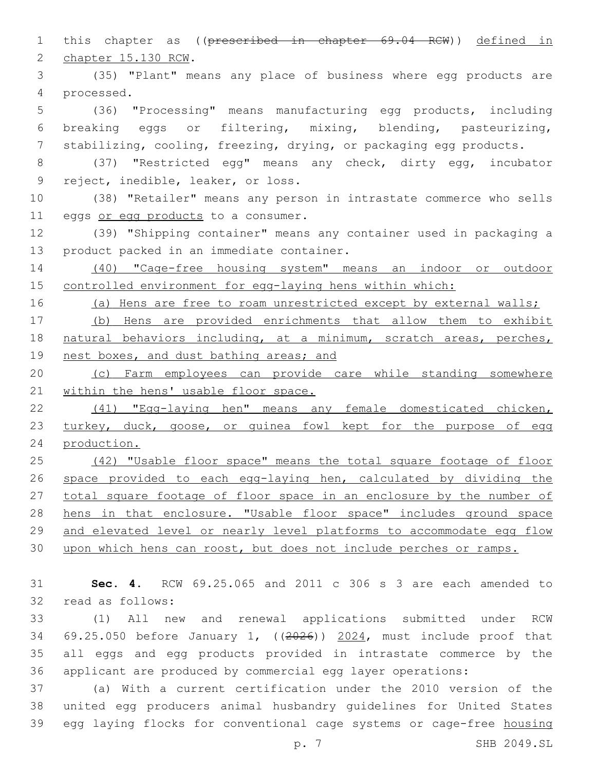2 chapter 15.130 RCW. (35) "Plant" means any place of business where egg products are processed.4 (36) "Processing" means manufacturing egg products, including breaking eggs or filtering, mixing, blending, pasteurizing, stabilizing, cooling, freezing, drying, or packaging egg products. (37) "Restricted egg" means any check, dirty egg, incubator 9 reject, inedible, leaker, or loss. (38) "Retailer" means any person in intrastate commerce who sells 11 eggs or egg products to a consumer. (39) "Shipping container" means any container used in packaging a 13 product packed in an immediate container. (40) "Cage-free housing system" means an indoor or outdoor controlled environment for egg-laying hens within which: 16 (a) Hens are free to roam unrestricted except by external walls; (b) Hens are provided enrichments that allow them to exhibit natural behaviors including, at a minimum, scratch areas, perches, 19 nest boxes, and dust bathing areas; and (c) Farm employees can provide care while standing somewhere 21 within the hens' usable floor space. (41) "Egg-laying hen" means any female domesticated chicken, 23 turkey, duck, goose, or guinea fowl kept for the purpose of egg production. 25 (42) "Usable floor space" means the total square footage of floor space provided to each egg-laying hen, calculated by dividing the 27 total square footage of floor space in an enclosure by the number of 28 hens in that enclosure. "Usable floor space" includes ground space and elevated level or nearly level platforms to accommodate egg flow upon which hens can roost, but does not include perches or ramps. **Sec. 4.** RCW 69.25.065 and 2011 c 306 s 3 are each amended to 32 read as follows: (1) All new and renewal applications submitted under RCW

this chapter as ((prescribed in chapter 69.04 RCW)) defined in

 69.25.050 before January 1, ((2026)) 2024, must include proof that all eggs and egg products provided in intrastate commerce by the applicant are produced by commercial egg layer operations:

 (a) With a current certification under the 2010 version of the united egg producers animal husbandry guidelines for United States egg laying flocks for conventional cage systems or cage-free housing

p. 7 SHB 2049.SL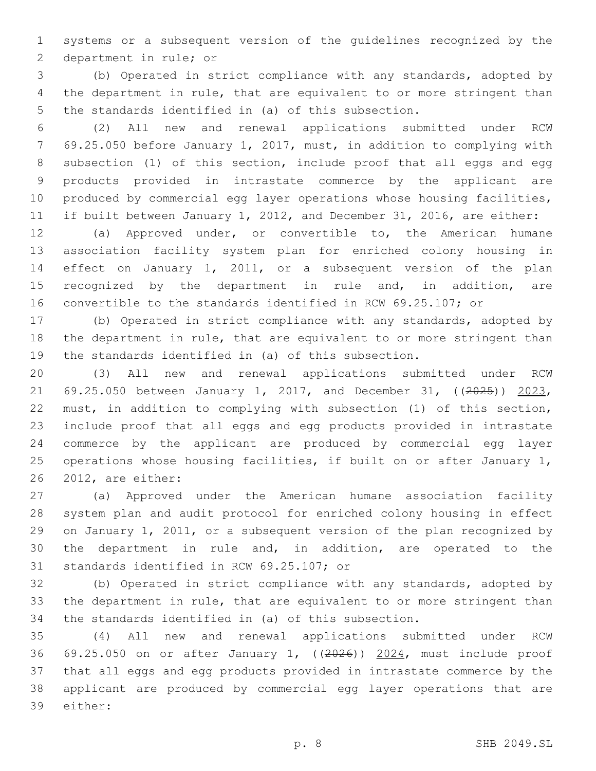systems or a subsequent version of the guidelines recognized by the 2 department in rule; or

 (b) Operated in strict compliance with any standards, adopted by the department in rule, that are equivalent to or more stringent than the standards identified in (a) of this subsection.

 (2) All new and renewal applications submitted under RCW 69.25.050 before January 1, 2017, must, in addition to complying with subsection (1) of this section, include proof that all eggs and egg products provided in intrastate commerce by the applicant are 10 produced by commercial egg layer operations whose housing facilities, if built between January 1, 2012, and December 31, 2016, are either:

 (a) Approved under, or convertible to, the American humane association facility system plan for enriched colony housing in effect on January 1, 2011, or a subsequent version of the plan 15 recognized by the department in rule and, in addition, are convertible to the standards identified in RCW 69.25.107; or

 (b) Operated in strict compliance with any standards, adopted by the department in rule, that are equivalent to or more stringent than the standards identified in (a) of this subsection.

 (3) All new and renewal applications submitted under RCW 21 69.25.050 between January 1, 2017, and December 31, ((2025)) 2023, must, in addition to complying with subsection (1) of this section, include proof that all eggs and egg products provided in intrastate commerce by the applicant are produced by commercial egg layer operations whose housing facilities, if built on or after January 1, 26 2012, are either:

 (a) Approved under the American humane association facility system plan and audit protocol for enriched colony housing in effect on January 1, 2011, or a subsequent version of the plan recognized by the department in rule and, in addition, are operated to the 31 standards identified in RCW 69.25.107; or

 (b) Operated in strict compliance with any standards, adopted by the department in rule, that are equivalent to or more stringent than the standards identified in (a) of this subsection.

 (4) All new and renewal applications submitted under RCW 69.25.050 on or after January 1, ((2026)) 2024, must include proof that all eggs and egg products provided in intrastate commerce by the applicant are produced by commercial egg layer operations that are 39 either: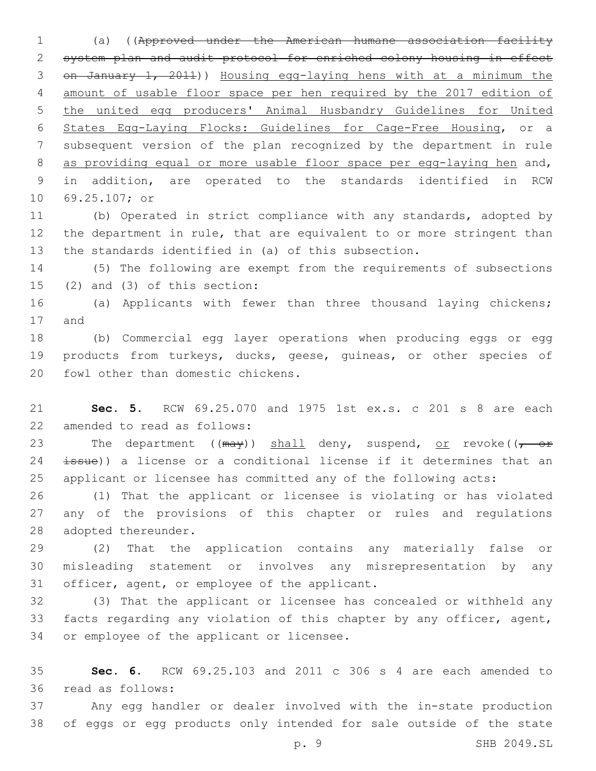(a) ((Approved under the American humane association facility system plan and audit protocol for enriched colony housing in effect on January 1, 2011)) Housing egg-laying hens with at a minimum the amount of usable floor space per hen required by the 2017 edition of the united egg producers' Animal Husbandry Guidelines for United States Egg-Laying Flocks: Guidelines for Cage-Free Housing, or a subsequent version of the plan recognized by the department in rule as providing equal or more usable floor space per egg-laying hen and, in addition, are operated to the standards identified in RCW 10 69.25.107; or

 (b) Operated in strict compliance with any standards, adopted by the department in rule, that are equivalent to or more stringent than the standards identified in (a) of this subsection.

 (5) The following are exempt from the requirements of subsections (2) and (3) of this section:

 (a) Applicants with fewer than three thousand laying chickens; 17 and

 (b) Commercial egg layer operations when producing eggs or egg 19 products from turkeys, ducks, geese, quineas, or other species of 20 fowl other than domestic chickens.

 **Sec. 5.** RCW 69.25.070 and 1975 1st ex.s. c 201 s 8 are each 22 amended to read as follows:

23 The department (( $\frac{m}{y}$ ) shall deny, suspend, or revoke(( $\frac{m}{y}$  or 24 issue)) a license or a conditional license if it determines that an applicant or licensee has committed any of the following acts:

 (1) That the applicant or licensee is violating or has violated any of the provisions of this chapter or rules and regulations 28 adopted thereunder.

 (2) That the application contains any materially false or misleading statement or involves any misrepresentation by any 31 officer, agent, or employee of the applicant.

 (3) That the applicant or licensee has concealed or withheld any facts regarding any violation of this chapter by any officer, agent, 34 or employee of the applicant or licensee.

 **Sec. 6.** RCW 69.25.103 and 2011 c 306 s 4 are each amended to read as follows:36

 Any egg handler or dealer involved with the in-state production of eggs or egg products only intended for sale outside of the state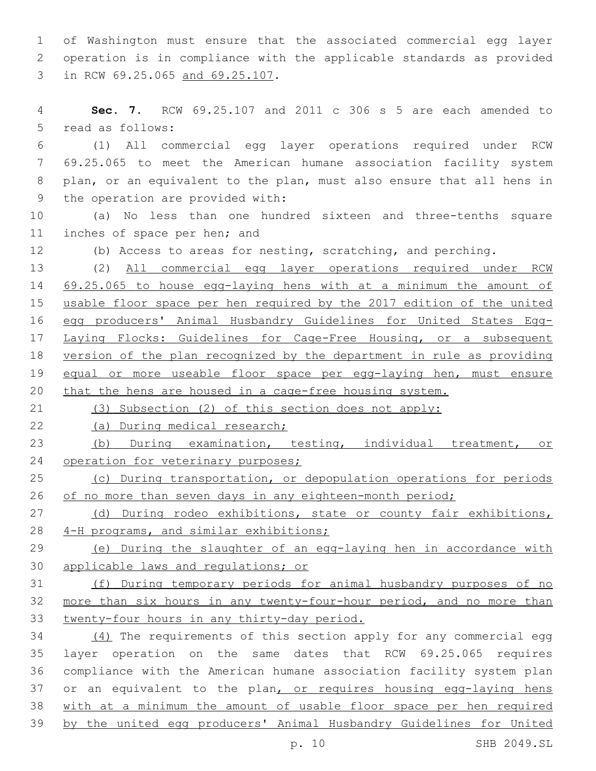of Washington must ensure that the associated commercial egg layer operation is in compliance with the applicable standards as provided 3 in RCW 69.25.065 and 69.25.107.

 **Sec. 7.** RCW 69.25.107 and 2011 c 306 s 5 are each amended to 5 read as follows:

 (1) All commercial egg layer operations required under RCW 69.25.065 to meet the American humane association facility system plan, or an equivalent to the plan, must also ensure that all hens in 9 the operation are provided with:

 (a) No less than one hundred sixteen and three-tenths square 11 inches of space per hen; and

(b) Access to areas for nesting, scratching, and perching.

 (2) All commercial egg layer operations required under RCW 69.25.065 to house egg-laying hens with at a minimum the amount of usable floor space per hen required by the 2017 edition of the united egg producers' Animal Husbandry Guidelines for United States Egg- Laying Flocks: Guidelines for Cage-Free Housing, or a subsequent version of the plan recognized by the department in rule as providing 19 equal or more useable floor space per egg-laying hen, must ensure 20 that the hens are housed in a cage-free housing system.

(3) Subsection (2) of this section does not apply:

22 (a) During medical research;

 (b) During examination, testing, individual treatment, or 24 operation for veterinary purposes;

25 (c) During transportation, or depopulation operations for periods 26 of no more than seven days in any eighteen-month period;

27 (d) During rodeo exhibitions, state or county fair exhibitions, 4-H programs, and similar exhibitions;

 (e) During the slaughter of an egg-laying hen in accordance with applicable laws and regulations; or

 (f) During temporary periods for animal husbandry purposes of no more than six hours in any twenty-four-hour period, and no more than twenty-four hours in any thirty-day period.

 (4) The requirements of this section apply for any commercial egg layer operation on the same dates that RCW 69.25.065 requires compliance with the American humane association facility system plan 37 or an equivalent to the plan, or requires housing egg-laying hens with at a minimum the amount of usable floor space per hen required by the united egg producers' Animal Husbandry Guidelines for United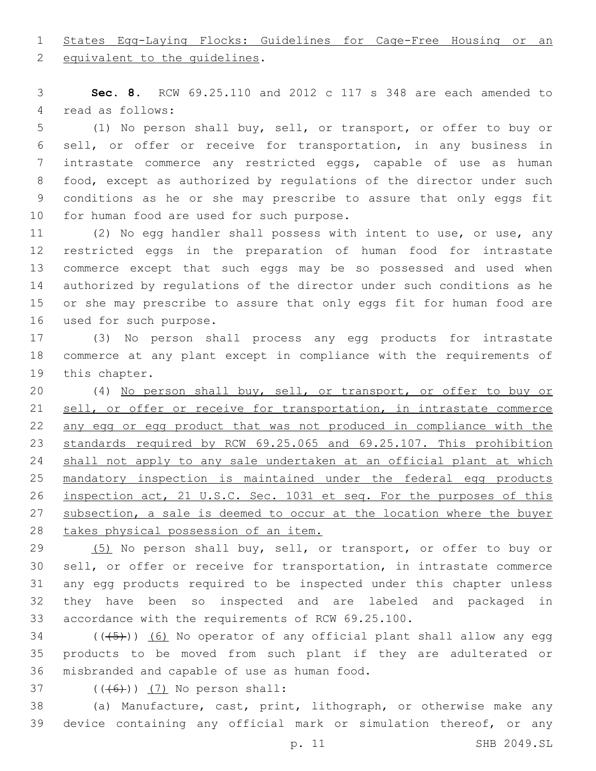States Egg-Laying Flocks: Guidelines for Cage-Free Housing or an

2 equivalent to the quidelines.

 **Sec. 8.** RCW 69.25.110 and 2012 c 117 s 348 are each amended to 4 read as follows:

 (1) No person shall buy, sell, or transport, or offer to buy or sell, or offer or receive for transportation, in any business in intrastate commerce any restricted eggs, capable of use as human food, except as authorized by regulations of the director under such conditions as he or she may prescribe to assure that only eggs fit 10 for human food are used for such purpose.

 (2) No egg handler shall possess with intent to use, or use, any restricted eggs in the preparation of human food for intrastate commerce except that such eggs may be so possessed and used when authorized by regulations of the director under such conditions as he or she may prescribe to assure that only eggs fit for human food are 16 used for such purpose.

 (3) No person shall process any egg products for intrastate commerce at any plant except in compliance with the requirements of 19 this chapter.

 (4) No person shall buy, sell, or transport, or offer to buy or sell, or offer or receive for transportation, in intrastate commerce any egg or egg product that was not produced in compliance with the standards required by RCW 69.25.065 and 69.25.107. This prohibition 24 shall not apply to any sale undertaken at an official plant at which mandatory inspection is maintained under the federal egg products inspection act, 21 U.S.C. Sec. 1031 et seq. For the purposes of this 27 subsection, a sale is deemed to occur at the location where the buyer takes physical possession of an item.

29 (5) No person shall buy, sell, or transport, or offer to buy or sell, or offer or receive for transportation, in intrastate commerce any egg products required to be inspected under this chapter unless they have been so inspected and are labeled and packaged in accordance with the requirements of RCW 69.25.100.

 ( $(\overline{(+5+})$ )  $\overline{6}$ ) No operator of any official plant shall allow any egg products to be moved from such plant if they are adulterated or 36 misbranded and capable of use as human food.

 $($   $($   $($   $($   $($   $($   $\left($   $)$   $)$   $($   $)$   $($   $)$   $)$  No person shall:

 (a) Manufacture, cast, print, lithograph, or otherwise make any device containing any official mark or simulation thereof, or any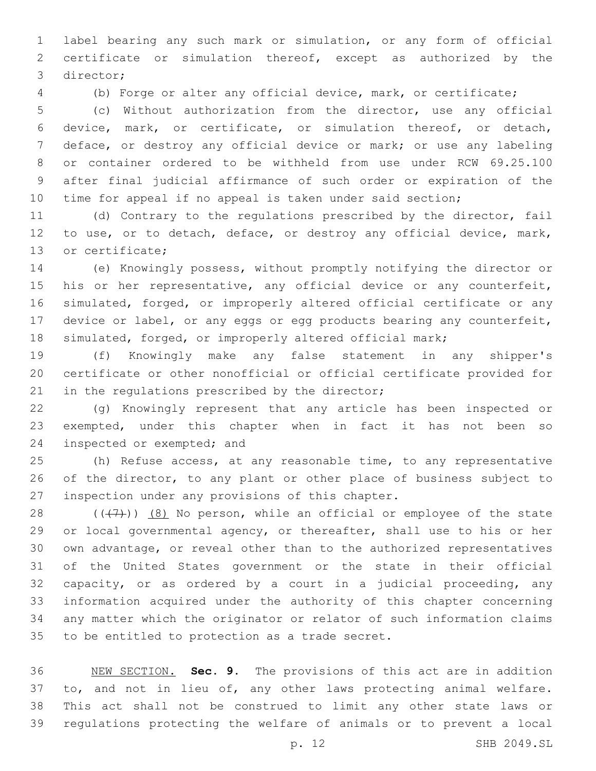label bearing any such mark or simulation, or any form of official certificate or simulation thereof, except as authorized by the 3 director;

(b) Forge or alter any official device, mark, or certificate;

 (c) Without authorization from the director, use any official device, mark, or certificate, or simulation thereof, or detach, deface, or destroy any official device or mark; or use any labeling or container ordered to be withheld from use under RCW 69.25.100 after final judicial affirmance of such order or expiration of the time for appeal if no appeal is taken under said section;

 (d) Contrary to the regulations prescribed by the director, fail to use, or to detach, deface, or destroy any official device, mark, 13 or certificate;

 (e) Knowingly possess, without promptly notifying the director or 15 his or her representative, any official device or any counterfeit, simulated, forged, or improperly altered official certificate or any device or label, or any eggs or egg products bearing any counterfeit, simulated, forged, or improperly altered official mark;

 (f) Knowingly make any false statement in any shipper's certificate or other nonofficial or official certificate provided for 21 in the regulations prescribed by the director;

 (g) Knowingly represent that any article has been inspected or exempted, under this chapter when in fact it has not been so 24 inspected or exempted; and

 (h) Refuse access, at any reasonable time, to any representative of the director, to any plant or other place of business subject to 27 inspection under any provisions of this chapter.

 $((+7+))$   $(8)$  No person, while an official or employee of the state or local governmental agency, or thereafter, shall use to his or her own advantage, or reveal other than to the authorized representatives of the United States government or the state in their official capacity, or as ordered by a court in a judicial proceeding, any information acquired under the authority of this chapter concerning any matter which the originator or relator of such information claims 35 to be entitled to protection as a trade secret.

 NEW SECTION. **Sec. 9.** The provisions of this act are in addition 37 to, and not in lieu of, any other laws protecting animal welfare. This act shall not be construed to limit any other state laws or regulations protecting the welfare of animals or to prevent a local